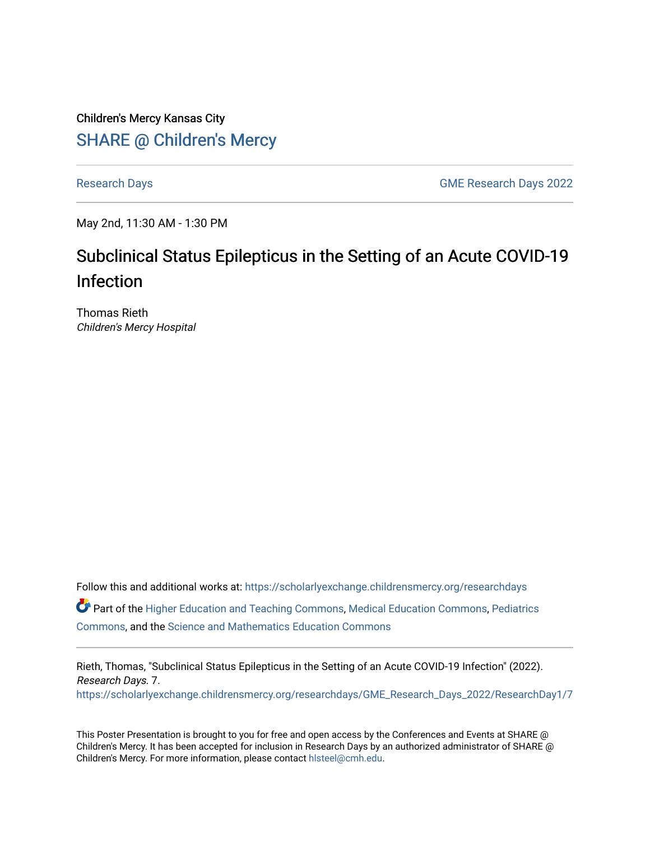Children's Mercy Kansas City SHARE @ Children's Mercy

[Research Days](https://scholarlyexchange.childrensmercy.org/researchdays) [GME Research Days 2022](https://scholarlyexchange.childrensmercy.org/researchdays/GME_Research_Days_2022) 

May 2nd, 11:30 AM - 1:30 PM

## Subclinical Status Epilepticus in the Setting of an Acute COVID-19 Infection

Thomas Rieth Children's Mercy Hospital

Follow this and additional works at: [https://scholarlyexchange.childrensmercy.org/researchdays](https://scholarlyexchange.childrensmercy.org/researchdays?utm_source=scholarlyexchange.childrensmercy.org%2Fresearchdays%2FGME_Research_Days_2022%2FResearchDay1%2F7&utm_medium=PDF&utm_campaign=PDFCoverPages)  Part of the [Higher Education and Teaching Commons](http://network.bepress.com/hgg/discipline/806?utm_source=scholarlyexchange.childrensmercy.org%2Fresearchdays%2FGME_Research_Days_2022%2FResearchDay1%2F7&utm_medium=PDF&utm_campaign=PDFCoverPages), [Medical Education Commons](http://network.bepress.com/hgg/discipline/1125?utm_source=scholarlyexchange.childrensmercy.org%2Fresearchdays%2FGME_Research_Days_2022%2FResearchDay1%2F7&utm_medium=PDF&utm_campaign=PDFCoverPages), [Pediatrics](http://network.bepress.com/hgg/discipline/700?utm_source=scholarlyexchange.childrensmercy.org%2Fresearchdays%2FGME_Research_Days_2022%2FResearchDay1%2F7&utm_medium=PDF&utm_campaign=PDFCoverPages)  [Commons](http://network.bepress.com/hgg/discipline/700?utm_source=scholarlyexchange.childrensmercy.org%2Fresearchdays%2FGME_Research_Days_2022%2FResearchDay1%2F7&utm_medium=PDF&utm_campaign=PDFCoverPages), and the [Science and Mathematics Education Commons](http://network.bepress.com/hgg/discipline/800?utm_source=scholarlyexchange.childrensmercy.org%2Fresearchdays%2FGME_Research_Days_2022%2FResearchDay1%2F7&utm_medium=PDF&utm_campaign=PDFCoverPages) 

Rieth, Thomas, "Subclinical Status Epilepticus in the Setting of an Acute COVID-19 Infection" (2022). Research Days. 7. [https://scholarlyexchange.childrensmercy.org/researchdays/GME\\_Research\\_Days\\_2022/ResearchDay1/7](https://scholarlyexchange.childrensmercy.org/researchdays/GME_Research_Days_2022/ResearchDay1/7?utm_source=scholarlyexchange.childrensmercy.org%2Fresearchdays%2FGME_Research_Days_2022%2FResearchDay1%2F7&utm_medium=PDF&utm_campaign=PDFCoverPages) 

This Poster Presentation is brought to you for free and open access by the Conferences and Events at SHARE @ Children's Mercy. It has been accepted for inclusion in Research Days by an authorized administrator of SHARE @ Children's Mercy. For more information, please contact [hlsteel@cmh.edu](mailto:hlsteel@cmh.edu).